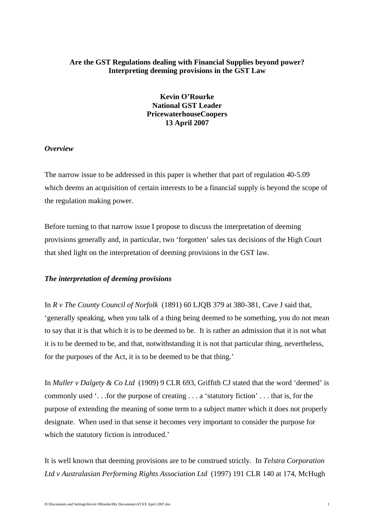## **Are the GST Regulations dealing with Financial Supplies beyond power? Interpreting deeming provisions in the GST Law**

# **Kevin O'Rourke National GST Leader PricewaterhouseCoopers 13 April 2007**

#### *Overview*

The narrow issue to be addressed in this paper is whether that part of regulation 40-5.09 which deems an acquisition of certain interests to be a financial supply is beyond the scope of the regulation making power.

Before turning to that narrow issue I propose to discuss the interpretation of deeming provisions generally and, in particular, two 'forgotten' sales tax decisions of the High Court that shed light on the interpretation of deeming provisions in the GST law.

### *The interpretation of deeming provisions*

In *R v The County Council of Norfolk* (1891) 60 LJQB 379 at 380-381, Cave J said that, 'generally speaking, when you talk of a thing being deemed to be something, you do not mean to say that it is that which it is to be deemed to be. It is rather an admission that it is not what it is to be deemed to be, and that, notwithstanding it is not that particular thing, nevertheless, for the purposes of the Act, it is to be deemed to be that thing.'

In *Muller v Dalgety & Co Ltd* (1909) 9 CLR 693, Griffith CJ stated that the word 'deemed' is commonly used '. . .for the purpose of creating . . . a 'statutory fiction' . . . that is, for the purpose of extending the meaning of some term to a subject matter which it does not properly designate. When used in that sense it becomes very important to consider the purpose for which the statutory fiction is introduced.'

It is well known that deeming provisions are to be construed strictly. In *Telstra Corporation Ltd v Australasian Performing Rights Association Ltd* (1997) 191 CLR 140 at 174, McHugh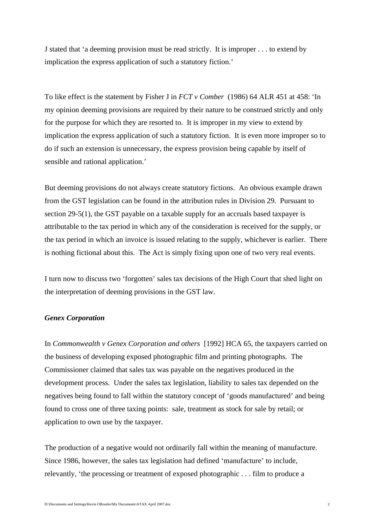J stated that 'a deeming provision must be read strictly. It is improper . . . to extend by implication the express application of such a statutory fiction.'

To like effect is the statement by Fisher J in *FCT v Comber* (1986) 64 ALR 451 at 458: 'In my opinion deeming provisions are required by their nature to be construed strictly and only for the purpose for which they are resorted to. It is improper in my view to extend by implication the express application of such a statutory fiction. It is even more improper so to do if such an extension is unnecessary, the express provision being capable by itself of sensible and rational application.'

But deeming provisions do not always create statutory fictions. An obvious example drawn from the GST legislation can be found in the attribution rules in Division 29. Pursuant to section 29-5(1), the GST payable on a taxable supply for an accruals based taxpayer is attributable to the tax period in which any of the consideration is received for the supply, or the tax period in which an invoice is issued relating to the supply, whichever is earlier. There is nothing fictional about this. The Act is simply fixing upon one of two very real events.

I turn now to discuss two 'forgotten' sales tax decisions of the High Court that shed light on the interpretation of deeming provisions in the GST law.

### *Genex Corporation*

In *Commonwealth v Genex Corporation and others* [1992] HCA 65, the taxpayers carried on the business of developing exposed photographic film and printing photographs. The Commissioner claimed that sales tax was payable on the negatives produced in the development process. Under the sales tax legislation, liability to sales tax depended on the negatives being found to fall within the statutory concept of 'goods manufactured' and being found to cross one of three taxing points: sale, treatment as stock for sale by retail; or application to own use by the taxpayer.

The production of a negative would not ordinarily fall within the meaning of manufacture. Since 1986, however, the sales tax legislation had defined 'manufacture' to include, relevantly, 'the processing or treatment of exposed photographic . . . film to produce a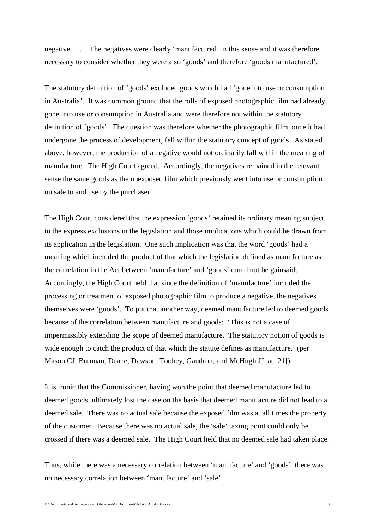negative . . .'. The negatives were clearly 'manufactured' in this sense and it was therefore necessary to consider whether they were also 'goods' and therefore 'goods manufactured'.

The statutory definition of 'goods' excluded goods which had 'gone into use or consumption in Australia'. It was common ground that the rolls of exposed photographic film had already gone into use or consumption in Australia and were therefore not within the statutory definition of 'goods'. The question was therefore whether the photographic film, once it had undergone the process of development, fell within the statutory concept of goods. As stated above, however, the production of a negative would not ordinarily fall within the meaning of manufacture. The High Court agreed. Accordingly, the negatives remained in the relevant sense the same goods as the unexposed film which previously went into use or consumption on sale to and use by the purchaser.

The High Court considered that the expression 'goods' retained its ordinary meaning subject to the express exclusions in the legislation and those implications which could be drawn from its application in the legislation. One such implication was that the word 'goods' had a meaning which included the product of that which the legislation defined as manufacture as the correlation in the Act between 'manufacture' and 'goods' could not be gainsaid. Accordingly, the High Court held that since the definition of 'manufacture' included the processing or treatment of exposed photographic film to produce a negative, the negatives themselves were 'goods'. To put that another way, deemed manufacture led to deemed goods because of the correlation between manufacture and goods: 'This is not a case of impermissibly extending the scope of deemed manufacture. The statutory notion of goods is wide enough to catch the product of that which the statute defines as manufacture.' (per Mason CJ, Brennan, Deane, Dawson, Toohey, Gaudron, and McHugh JJ, at [21])

It is ironic that the Commissioner, having won the point that deemed manufacture led to deemed goods, ultimately lost the case on the basis that deemed manufacture did not lead to a deemed sale. There was no actual sale because the exposed film was at all times the property of the customer. Because there was no actual sale, the 'sale' taxing point could only be crossed if there was a deemed sale. The High Court held that no deemed sale had taken place.

Thus, while there was a necessary correlation between 'manufacture' and 'goods', there was no necessary correlation between 'manufacture' and 'sale'.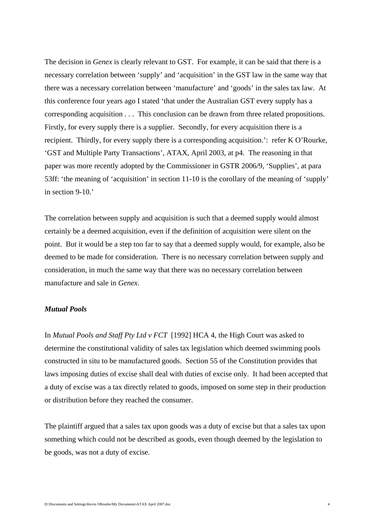The decision in *Genex* is clearly relevant to GST. For example, it can be said that there is a necessary correlation between 'supply' and 'acquisition' in the GST law in the same way that there was a necessary correlation between 'manufacture' and 'goods' in the sales tax law. At this conference four years ago I stated 'that under the Australian GST every supply has a corresponding acquisition . . . This conclusion can be drawn from three related propositions. Firstly, for every supply there is a supplier. Secondly, for every acquisition there is a recipient. Thirdly, for every supply there is a corresponding acquisition.': refer K O'Rourke, 'GST and Multiple Party Transactions', ATAX, April 2003, at p4. The reasoning in that paper was more recently adopted by the Commissioner in GSTR 2006/9, 'Supplies', at para 53ff: 'the meaning of 'acquisition' in section 11-10 is the corollary of the meaning of 'supply' in section 9-10.'

The correlation between supply and acquisition is such that a deemed supply would almost certainly be a deemed acquisition, even if the definition of acquisition were silent on the point. But it would be a step too far to say that a deemed supply would, for example, also be deemed to be made for consideration. There is no necessary correlation between supply and consideration, in much the same way that there was no necessary correlation between manufacture and sale in *Genex*.

## *Mutual Pools*

In *Mutual Pools and Staff Pty Ltd v FCT* [1992] HCA 4, the High Court was asked to determine the constitutional validity of sales tax legislation which deemed swimming pools constructed in situ to be manufactured goods. Section 55 of the Constitution provides that laws imposing duties of excise shall deal with duties of excise only. It had been accepted that a duty of excise was a tax directly related to goods, imposed on some step in their production or distribution before they reached the consumer.

The plaintiff argued that a sales tax upon goods was a duty of excise but that a sales tax upon something which could not be described as goods, even though deemed by the legislation to be goods, was not a duty of excise.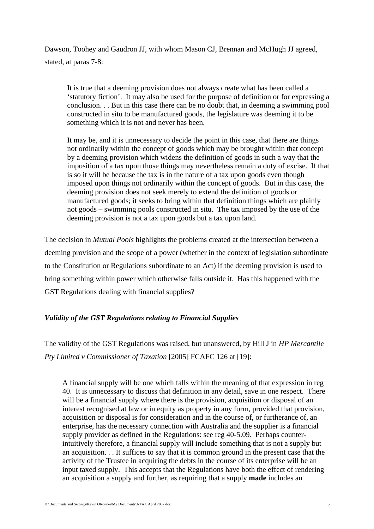Dawson, Toohey and Gaudron JJ, with whom Mason CJ, Brennan and McHugh JJ agreed, stated, at paras 7-8:

It is true that a deeming provision does not always create what has been called a 'statutory fiction'. It may also be used for the purpose of definition or for expressing a conclusion. . . But in this case there can be no doubt that, in deeming a swimming pool constructed in situ to be manufactured goods, the legislature was deeming it to be something which it is not and never has been.

It may be, and it is unnecessary to decide the point in this case, that there are things not ordinarily within the concept of goods which may be brought within that concept by a deeming provision which widens the definition of goods in such a way that the imposition of a tax upon those things may nevertheless remain a duty of excise. If that is so it will be because the tax is in the nature of a tax upon goods even though imposed upon things not ordinarily within the concept of goods. But in this case, the deeming provision does not seek merely to extend the definition of goods or manufactured goods; it seeks to bring within that definition things which are plainly not goods – swimming pools constructed in situ. The tax imposed by the use of the deeming provision is not a tax upon goods but a tax upon land.

The decision in *Mutual Pools* highlights the problems created at the intersection between a deeming provision and the scope of a power (whether in the context of legislation subordinate to the Constitution or Regulations subordinate to an Act) if the deeming provision is used to bring something within power which otherwise falls outside it. Has this happened with the GST Regulations dealing with financial supplies?

# *Validity of the GST Regulations relating to Financial Supplies*

The validity of the GST Regulations was raised, but unanswered, by Hill J in *HP Mercantile Pty Limited v Commissioner of Taxation* [2005] FCAFC 126 at [19]:

A financial supply will be one which falls within the meaning of that expression in reg 40. It is unnecessary to discuss that definition in any detail, save in one respect. There will be a financial supply where there is the provision, acquisition or disposal of an interest recognised at law or in equity as property in any form, provided that provision, acquisition or disposal is for consideration and in the course of, or furtherance of, an enterprise, has the necessary connection with Australia and the supplier is a financial supply provider as defined in the Regulations: see reg 40-5.09. Perhaps counterintuitively therefore, a financial supply will include something that is not a supply but an acquisition. . . It suffices to say that it is common ground in the present case that the activity of the Trustee in acquiring the debts in the course of its enterprise will be an input taxed supply. This accepts that the Regulations have both the effect of rendering an acquisition a supply and further, as requiring that a supply **made** includes an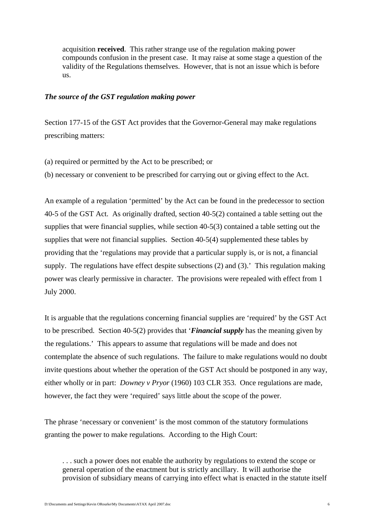acquisition **received**. This rather strange use of the regulation making power compounds confusion in the present case. It may raise at some stage a question of the validity of the Regulations themselves. However, that is not an issue which is before us.

#### *The source of the GST regulation making power*

Section 177-15 of the GST Act provides that the Governor-General may make regulations prescribing matters:

- (a) required or permitted by the Act to be prescribed; or
- (b) necessary or convenient to be prescribed for carrying out or giving effect to the Act.

An example of a regulation 'permitted' by the Act can be found in the predecessor to section 40-5 of the GST Act. As originally drafted, section 40-5(2) contained a table setting out the supplies that were financial supplies, while section 40-5(3) contained a table setting out the supplies that were not financial supplies. Section 40-5(4) supplemented these tables by providing that the 'regulations may provide that a particular supply is, or is not, a financial supply. The regulations have effect despite subsections (2) and (3).' This regulation making power was clearly permissive in character. The provisions were repealed with effect from 1 July 2000.

It is arguable that the regulations concerning financial supplies are 'required' by the GST Act to be prescribed. Section 40-5(2) provides that '*Financial supply* has the meaning given by the regulations.' This appears to assume that regulations will be made and does not contemplate the absence of such regulations. The failure to make regulations would no doubt invite questions about whether the operation of the GST Act should be postponed in any way, either wholly or in part: *Downey v Pryor* (1960) 103 CLR 353. Once regulations are made, however, the fact they were 'required' says little about the scope of the power.

The phrase 'necessary or convenient' is the most common of the statutory formulations granting the power to make regulations. According to the High Court:

... such a power does not enable the authority by regulations to extend the scope or general operation of the enactment but is strictly ancillary. It will authorise the provision of subsidiary means of carrying into effect what is enacted in the statute itself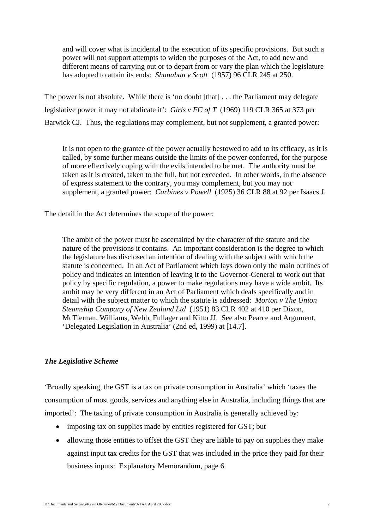and will cover what is incidental to the execution of its specific provisions. But such a power will not support attempts to widen the purposes of the Act, to add new and different means of carrying out or to depart from or vary the plan which the legislature has adopted to attain its ends: *Shanahan v Scott* (1957) 96 CLR 245 at 250.

The power is not absolute. While there is 'no doubt [that] . . . the Parliament may delegate legislative power it may not abdicate it': *Giris v FC of T* (1969) 119 CLR 365 at 373 per Barwick CJ. Thus, the regulations may complement, but not supplement, a granted power:

It is not open to the grantee of the power actually bestowed to add to its efficacy, as it is called, by some further means outside the limits of the power conferred, for the purpose of more effectively coping with the evils intended to be met. The authority must be taken as it is created, taken to the full, but not exceeded. In other words, in the absence of express statement to the contrary, you may complement, but you may not supplement, a granted power: *Carbines v Powell* (1925) 36 CLR 88 at 92 per Isaacs J.

The detail in the Act determines the scope of the power:

The ambit of the power must be ascertained by the character of the statute and the nature of the provisions it contains. An important consideration is the degree to which the legislature has disclosed an intention of dealing with the subject with which the statute is concerned. In an Act of Parliament which lays down only the main outlines of policy and indicates an intention of leaving it to the Governor-General to work out that policy by specific regulation, a power to make regulations may have a wide ambit. Its ambit may be very different in an Act of Parliament which deals specifically and in detail with the subject matter to which the statute is addressed: *Morton v The Union Steamship Company of New Zealand Ltd* (1951) 83 CLR 402 at 410 per Dixon, McTiernan, Williams, Webb, Fullager and Kitto JJ. See also Pearce and Argument, 'Delegated Legislation in Australia' (2nd ed, 1999) at [14.7].

# *The Legislative Scheme*

'Broadly speaking, the GST is a tax on private consumption in Australia' which 'taxes the consumption of most goods, services and anything else in Australia, including things that are imported': The taxing of private consumption in Australia is generally achieved by:

- imposing tax on supplies made by entities registered for GST; but
- allowing those entities to offset the GST they are liable to pay on supplies they make against input tax credits for the GST that was included in the price they paid for their business inputs: Explanatory Memorandum, page 6.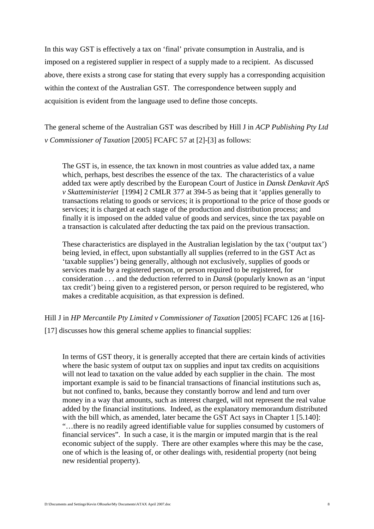In this way GST is effectively a tax on 'final' private consumption in Australia, and is imposed on a registered supplier in respect of a supply made to a recipient. As discussed above, there exists a strong case for stating that every supply has a corresponding acquisition within the context of the Australian GST. The correspondence between supply and acquisition is evident from the language used to define those concepts.

The general scheme of the Australian GST was described by Hill J in *ACP Publishing Pty Ltd v Commissioner of Taxation* [2005] FCAFC 57 at [2]-[3] as follows:

The GST is, in essence, the tax known in most countries as value added tax, a name which, perhaps, best describes the essence of the tax. The characteristics of a value added tax were aptly described by the European Court of Justice in *Dansk Denkavit ApS v Skatteministeriet* [1994] 2 CMLR 377 at 394-5 as being that it 'applies generally to transactions relating to goods or services; it is proportional to the price of those goods or services; it is charged at each stage of the production and distribution process; and finally it is imposed on the added value of goods and services, since the tax payable on a transaction is calculated after deducting the tax paid on the previous transaction.

These characteristics are displayed in the Australian legislation by the tax ('output tax') being levied, in effect, upon substantially all supplies (referred to in the GST Act as 'taxable supplies') being generally, although not exclusively, supplies of goods or services made by a registered person, or person required to be registered, for consideration . . . and the deduction referred to in *Dansk* (popularly known as an 'input tax credit') being given to a registered person, or person required to be registered, who makes a creditable acquisition, as that expression is defined.

Hill J in *HP Mercantile Pty Limited v Commissioner of Taxation* [2005] FCAFC 126 at [16]-

[17] discusses how this general scheme applies to financial supplies:

In terms of GST theory, it is generally accepted that there are certain kinds of activities where the basic system of output tax on supplies and input tax credits on acquisitions will not lead to taxation on the value added by each supplier in the chain. The most important example is said to be financial transactions of financial institutions such as, but not confined to, banks, because they constantly borrow and lend and turn over money in a way that amounts, such as interest charged, will not represent the real value added by the financial institutions. Indeed, as the explanatory memorandum distributed with the bill which, as amended, later became the GST Act says in Chapter 1 [5.140]: "…there is no readily agreed identifiable value for supplies consumed by customers of financial services". In such a case, it is the margin or imputed margin that is the real economic subject of the supply. There are other examples where this may be the case, one of which is the leasing of, or other dealings with, residential property (not being new residential property).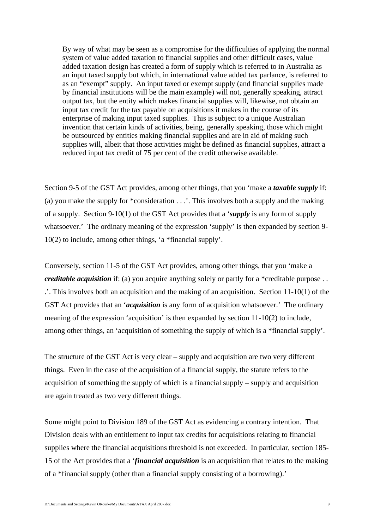By way of what may be seen as a compromise for the difficulties of applying the normal system of value added taxation to financial supplies and other difficult cases, value added taxation design has created a form of supply which is referred to in Australia as an input taxed supply but which, in international value added tax parlance, is referred to as an "exempt" supply. An input taxed or exempt supply (and financial supplies made by financial institutions will be the main example) will not, generally speaking, attract output tax, but the entity which makes financial supplies will, likewise, not obtain an input tax credit for the tax payable on acquisitions it makes in the course of its enterprise of making input taxed supplies. This is subject to a unique Australian invention that certain kinds of activities, being, generally speaking, those which might be outsourced by entities making financial supplies and are in aid of making such supplies will, albeit that those activities might be defined as financial supplies, attract a reduced input tax credit of 75 per cent of the credit otherwise available.

Section 9-5 of the GST Act provides, among other things, that you 'make a *taxable supply* if: (a) you make the supply for \*consideration . . .'. This involves both a supply and the making of a supply. Section 9-10(1) of the GST Act provides that a '*supply* is any form of supply whatsoever.' The ordinary meaning of the expression 'supply' is then expanded by section 9- 10(2) to include, among other things, 'a \*financial supply'.

Conversely, section 11-5 of the GST Act provides, among other things, that you 'make a *creditable acquisition* if: (a) you acquire anything solely or partly for a \*creditable purpose . . .'. This involves both an acquisition and the making of an acquisition. Section 11-10(1) of the GST Act provides that an '*acquisition* is any form of acquisition whatsoever.' The ordinary meaning of the expression 'acquisition' is then expanded by section 11-10(2) to include, among other things, an 'acquisition of something the supply of which is a \*financial supply'.

The structure of the GST Act is very clear – supply and acquisition are two very different things. Even in the case of the acquisition of a financial supply, the statute refers to the acquisition of something the supply of which is a financial supply – supply and acquisition are again treated as two very different things.

Some might point to Division 189 of the GST Act as evidencing a contrary intention. That Division deals with an entitlement to input tax credits for acquisitions relating to financial supplies where the financial acquisitions threshold is not exceeded. In particular, section 185- 15 of the Act provides that a '*financial acquisition* is an acquisition that relates to the making of a \*financial supply (other than a financial supply consisting of a borrowing).'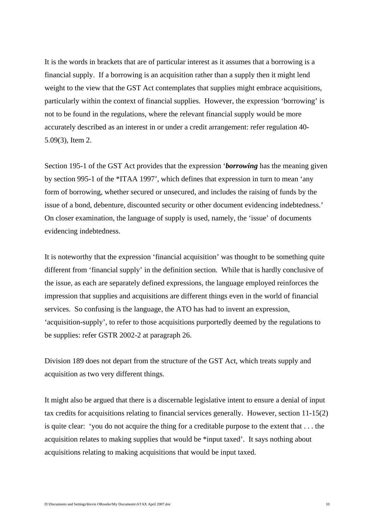It is the words in brackets that are of particular interest as it assumes that a borrowing is a financial supply. If a borrowing is an acquisition rather than a supply then it might lend weight to the view that the GST Act contemplates that supplies might embrace acquisitions, particularly within the context of financial supplies. However, the expression 'borrowing' is not to be found in the regulations, where the relevant financial supply would be more accurately described as an interest in or under a credit arrangement: refer regulation 40- 5.09(3), Item 2.

Section 195-1 of the GST Act provides that the expression '*borrowing* has the meaning given by section 995-1 of the \*ITAA 1997', which defines that expression in turn to mean 'any form of borrowing, whether secured or unsecured, and includes the raising of funds by the issue of a bond, debenture, discounted security or other document evidencing indebtedness.' On closer examination, the language of supply is used, namely, the 'issue' of documents evidencing indebtedness.

It is noteworthy that the expression 'financial acquisition' was thought to be something quite different from 'financial supply' in the definition section. While that is hardly conclusive of the issue, as each are separately defined expressions, the language employed reinforces the impression that supplies and acquisitions are different things even in the world of financial services. So confusing is the language, the ATO has had to invent an expression, 'acquisition-supply', to refer to those acquisitions purportedly deemed by the regulations to be supplies: refer GSTR 2002-2 at paragraph 26.

Division 189 does not depart from the structure of the GST Act, which treats supply and acquisition as two very different things.

It might also be argued that there is a discernable legislative intent to ensure a denial of input tax credits for acquisitions relating to financial services generally. However, section 11-15(2) is quite clear: 'you do not acquire the thing for a creditable purpose to the extent that . . . the acquisition relates to making supplies that would be \*input taxed'. It says nothing about acquisitions relating to making acquisitions that would be input taxed.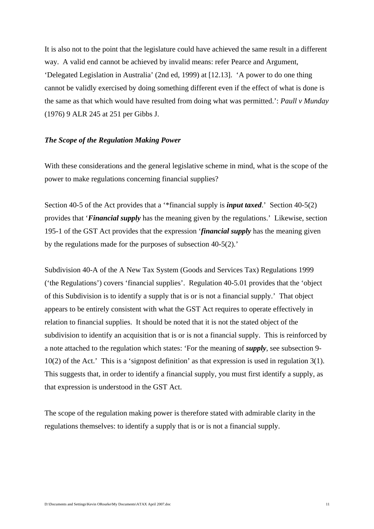It is also not to the point that the legislature could have achieved the same result in a different way. A valid end cannot be achieved by invalid means: refer Pearce and Argument, 'Delegated Legislation in Australia' (2nd ed, 1999) at [12.13]. 'A power to do one thing cannot be validly exercised by doing something different even if the effect of what is done is the same as that which would have resulted from doing what was permitted.': *Paull v Munday* (1976) 9 ALR 245 at 251 per Gibbs J.

#### *The Scope of the Regulation Making Power*

With these considerations and the general legislative scheme in mind, what is the scope of the power to make regulations concerning financial supplies?

Section 40-5 of the Act provides that a '\*financial supply is *input taxed*.' Section 40-5(2) provides that '*Financial supply* has the meaning given by the regulations.' Likewise, section 195-1 of the GST Act provides that the expression '*financial supply* has the meaning given by the regulations made for the purposes of subsection 40-5(2).'

Subdivision 40-A of the A New Tax System (Goods and Services Tax) Regulations 1999 ('the Regulations') covers 'financial supplies'. Regulation 40-5.01 provides that the 'object of this Subdivision is to identify a supply that is or is not a financial supply.' That object appears to be entirely consistent with what the GST Act requires to operate effectively in relation to financial supplies. It should be noted that it is not the stated object of the subdivision to identify an acquisition that is or is not a financial supply. This is reinforced by a note attached to the regulation which states: 'For the meaning of *supply*, see subsection 9-  $10(2)$  of the Act.' This is a 'signpost definition' as that expression is used in regulation  $3(1)$ . This suggests that, in order to identify a financial supply, you must first identify a supply, as that expression is understood in the GST Act.

The scope of the regulation making power is therefore stated with admirable clarity in the regulations themselves: to identify a supply that is or is not a financial supply.